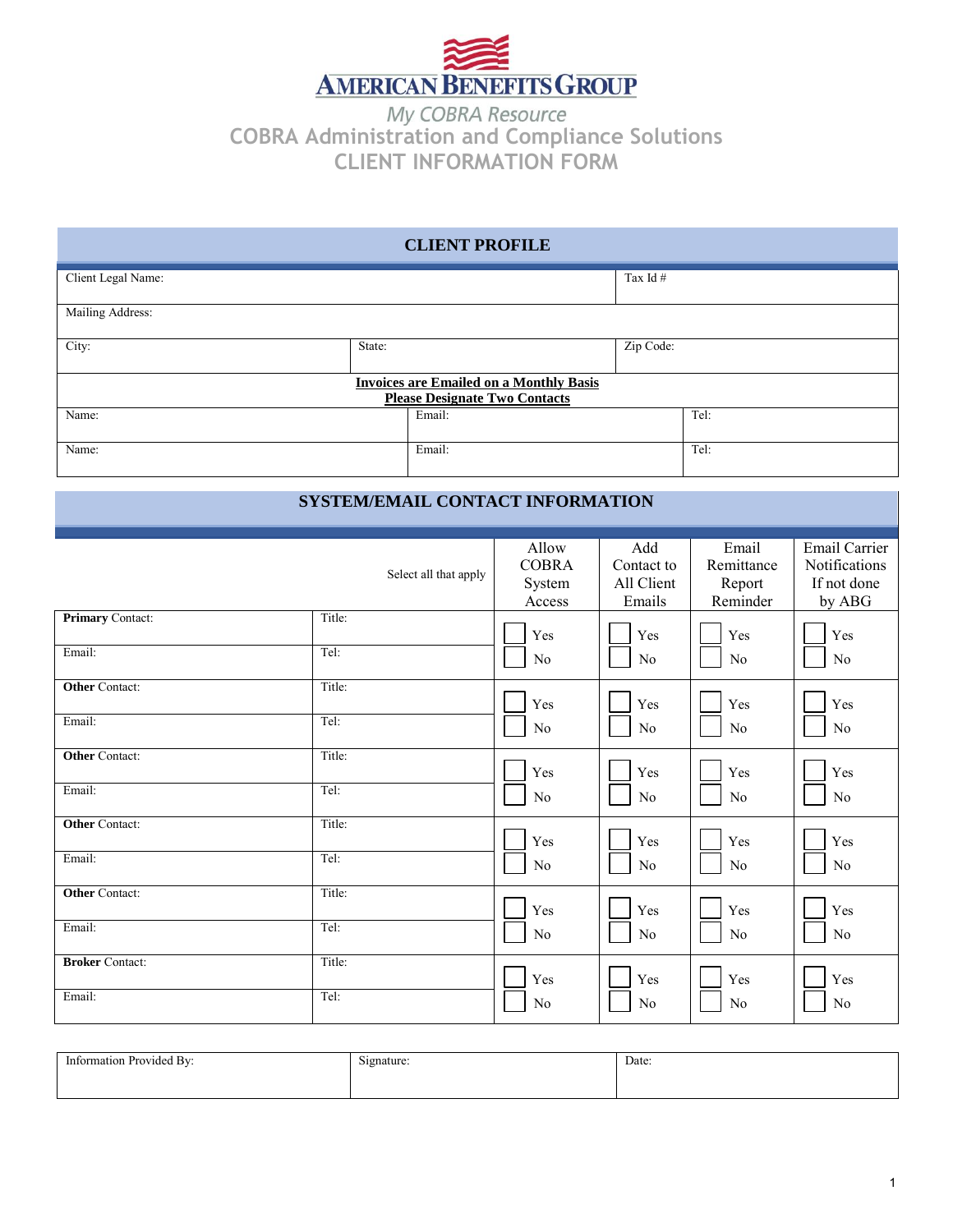

**COBRA Administration and Compliance Solutions CLIENT INFORMATION FORM** 

| <b>CLIENT PROFILE</b>                                                                  |        |        |            |      |
|----------------------------------------------------------------------------------------|--------|--------|------------|------|
| Client Legal Name:                                                                     |        |        | Tax Id $#$ |      |
| Mailing Address:                                                                       |        |        |            |      |
| City:                                                                                  | State: |        | Zip Code:  |      |
| <b>Invoices are Emailed on a Monthly Basis</b><br><b>Please Designate Two Contacts</b> |        |        |            |      |
| Name:                                                                                  |        | Email: |            | Tel: |
| Name:                                                                                  |        | Email: |            | Tel: |

# **SYSTEM/EMAIL CONTACT INFORMATION**

|                         | Select all that apply | Allow<br><b>COBRA</b><br>System<br>Access | Add<br>Contact to<br>All Client<br>Emails | Email<br>Remittance<br>Report<br>Reminder | <b>Email Carrier</b><br>Notifications<br>If not done<br>by ABG |
|-------------------------|-----------------------|-------------------------------------------|-------------------------------------------|-------------------------------------------|----------------------------------------------------------------|
| <b>Primary Contact:</b> | Title:                | Yes                                       | Yes                                       | Yes                                       | Yes                                                            |
| Email:                  | Tel:                  | No                                        | No                                        | No                                        | N <sub>o</sub>                                                 |
| <b>Other Contact:</b>   | Title:                | Yes                                       | Yes                                       | Yes                                       | Yes                                                            |
| Email:                  | Tel:                  | No                                        | $\rm No$                                  | $\rm No$                                  | No                                                             |
| <b>Other Contact:</b>   | Title:                | Yes                                       | Yes                                       | Yes                                       | Yes                                                            |
| Email:                  | Tel:                  | No                                        | No                                        | No                                        | No                                                             |
| <b>Other Contact:</b>   | Title:                | Yes                                       | Yes                                       | Yes                                       | Yes                                                            |
| Email:                  | Tel:                  | No                                        | No                                        | No                                        | No                                                             |
| <b>Other Contact:</b>   | Title:                | Yes                                       | Yes                                       | Yes                                       | Yes                                                            |
| Email:                  | Tel:                  | $\rm No$                                  | $\rm No$                                  | $\rm No$                                  | No                                                             |
| <b>Broker Contact:</b>  | Title:                | Yes                                       | Yes                                       | Yes                                       | Yes                                                            |
| Email:                  | Tel:                  | No                                        | No                                        | No                                        | No                                                             |

| $\sim$<br>. .<br>Provided By:<br>ın<br>mation | $\tilde{\phantom{a}}$<br>Signature.<br>$\overline{\phantom{a}}$ | Date: |
|-----------------------------------------------|-----------------------------------------------------------------|-------|
|                                               |                                                                 |       |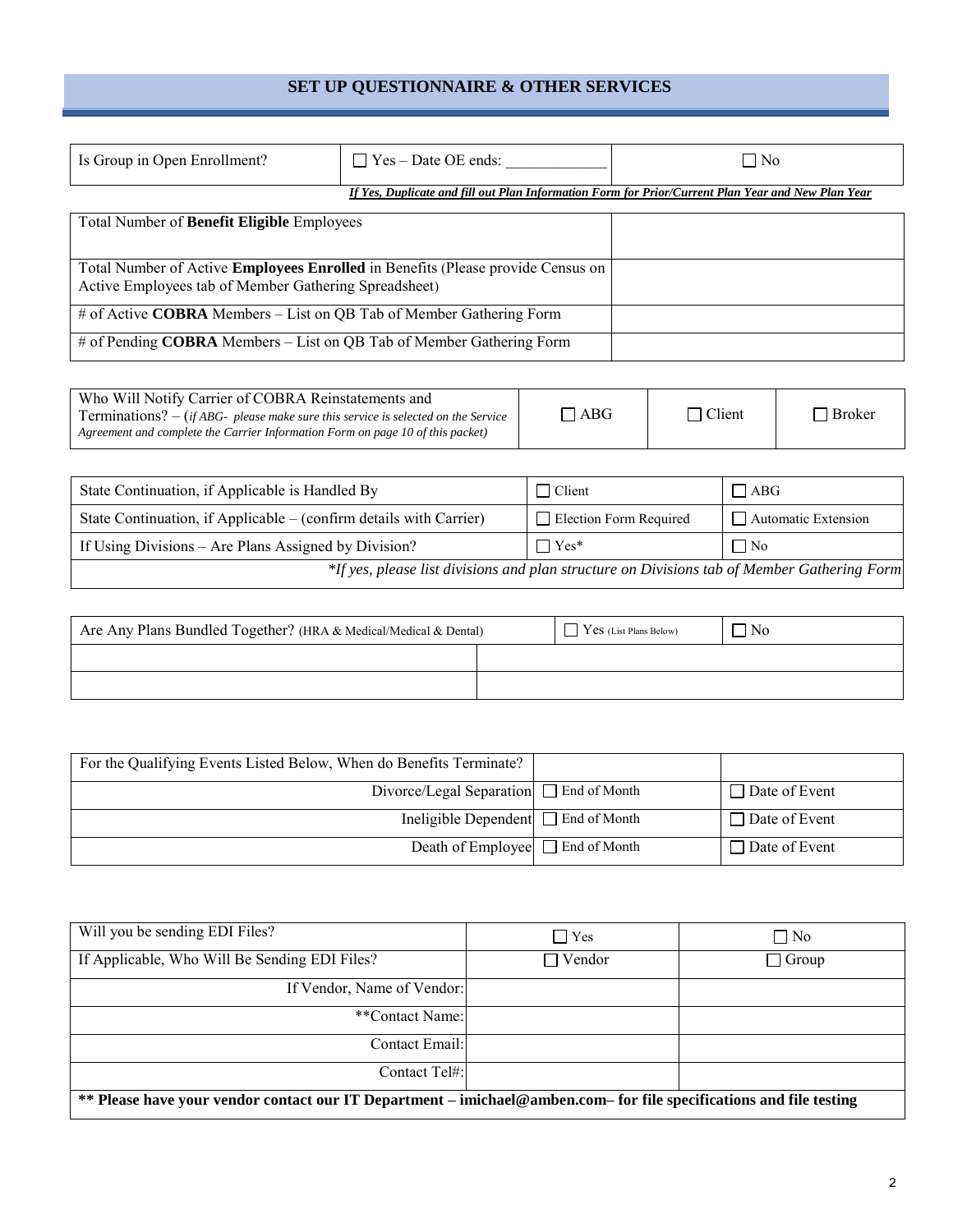# **SET UP QUESTIONNAIRE & OTHER SERVICES**

| Is Group in Open Enrollment?                                                                                                                    | $\Box$ Yes – Date OE ends:                                                                         | $\Box$ No |
|-------------------------------------------------------------------------------------------------------------------------------------------------|----------------------------------------------------------------------------------------------------|-----------|
|                                                                                                                                                 | If Yes, Duplicate and fill out Plan Information Form for Prior/Current Plan Year and New Plan Year |           |
| Total Number of Benefit Eligible Employees                                                                                                      |                                                                                                    |           |
|                                                                                                                                                 |                                                                                                    |           |
| Total Number of Active <b>Employees Enrolled</b> in Benefits (Please provide Census on<br>Active Employees tab of Member Gathering Spreadsheet) |                                                                                                    |           |
| # of Active COBRA Members – List on QB Tab of Member Gathering Form                                                                             |                                                                                                    |           |
| $#$ of Pending <b>COBRA</b> Members – List on QB Tab of Member Gathering Form                                                                   |                                                                                                    |           |

| Who Will Notify Carrier of COBRA Reinstatements and<br><b>Terminations?</b> $-$ (if ABG- please make sure this service is selected on the Service<br>Agreement and complete the Carrier Information Form on page 10 of this packet) | $\Box$ ABG | $\sqcap$ Client | Broker |
|-------------------------------------------------------------------------------------------------------------------------------------------------------------------------------------------------------------------------------------|------------|-----------------|--------|
|-------------------------------------------------------------------------------------------------------------------------------------------------------------------------------------------------------------------------------------|------------|-----------------|--------|

| State Continuation, if Applicable is Handled By                                             | $\Box$ Client                 | $\Box$ ABG          |
|---------------------------------------------------------------------------------------------|-------------------------------|---------------------|
| State Continuation, if Applicable $-$ (confirm details with Carrier)                        | $\Box$ Election Form Required | Automatic Extension |
| If Using Divisions – Are Plans Assigned by Division?                                        | $\Box$ Yes*                   | $\Box$ No           |
| *If yes, please list divisions and plan structure on Divisions tab of Member Gathering Form |                               |                     |

| Are Any Plans Bundled Together? (HRA & Medical/Medical & Dental) |  | $\Gamma$ Yes (List Plans Below) | 7 No |
|------------------------------------------------------------------|--|---------------------------------|------|
|                                                                  |  |                                 |      |
|                                                                  |  |                                 |      |

| For the Qualifying Events Listed Below, When do Benefits Terminate? |                      |
|---------------------------------------------------------------------|----------------------|
| Divorce/Legal Separation $\Box$ End of Month                        | $\Box$ Date of Event |
| Ineligible Dependent $\Box$ End of Month                            | $\Box$ Date of Event |
| Death of Employee $\Box$ End of Month                               | $\Box$ Date of Event |

| Will you be sending EDI Files?                                                                                      | $\bigcap$ Yes | $\Box$ No    |
|---------------------------------------------------------------------------------------------------------------------|---------------|--------------|
| If Applicable, Who Will Be Sending EDI Files?                                                                       | $\Box$ Vendor | $\Box$ Group |
| If Vendor, Name of Vendor:                                                                                          |               |              |
| **Contact Name:                                                                                                     |               |              |
| Contact Email:                                                                                                      |               |              |
| Contact Tel#:                                                                                                       |               |              |
| ** Please have your vendor contact our IT Department – imichael@amben.com– for file specifications and file testing |               |              |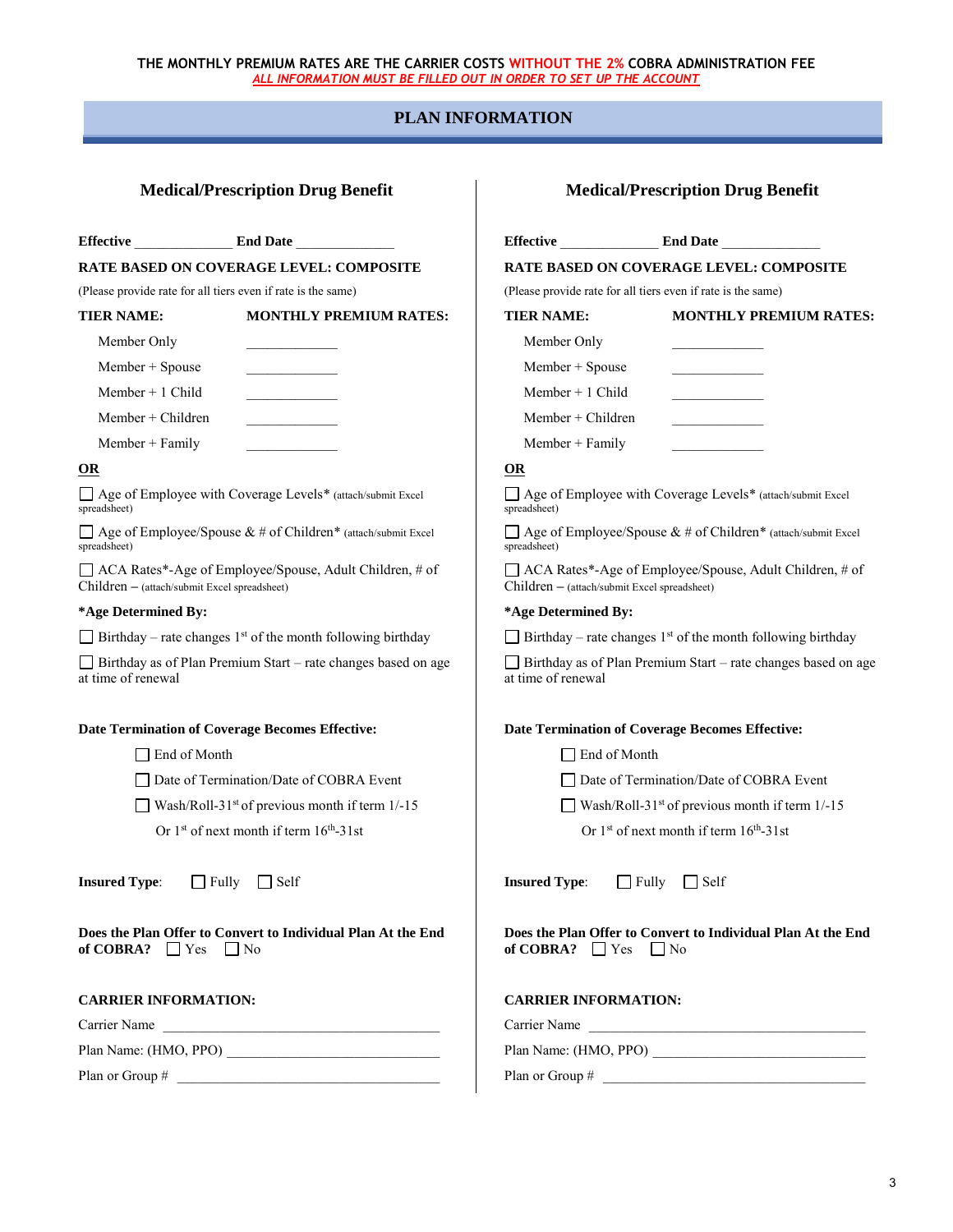# **PLAN INFORMATION**

**Effective** \_\_\_\_\_\_\_\_\_\_\_\_\_\_ **End Date** \_\_\_\_\_\_\_\_\_\_\_\_\_\_

**RATE BASED ON COVERAGE LEVEL: COMPOSITE** 

(Please provide rate for all tiers even if rate is the same)

### **TIER NAME: MONTHLY PREMIUM RATES:**

| Member Only       |  |
|-------------------|--|
| $Member + Spouse$ |  |
| Member $+1$ Child |  |

Member + Children

Member + Family

### **OR**

Age of Employee with Coverage Levels\* (attach/submit Excel spreadsheet)

 $\Box$  Age of Employee/Spouse & # of Children\* (attach/submit Excel spreadsheet)

ACA Rates\*-Age of Employee/Spouse, Adult Children, # of Children **–** (attach/submit Excel spreadsheet)

#### **\*Age Determined By:**

 $\Box$  Birthday – rate changes 1<sup>st</sup> of the month following birthday

 $\Box$  Birthday as of Plan Premium Start – rate changes based on age at time of renewal

### **Date Termination of Coverage Becomes Effective:**

□ End of Month

□ Date of Termination/Date of COBRA Event

 $\Box$  Wash/Roll-31<sup>st</sup> of previous month if term 1/-15

Or  $1<sup>st</sup>$  of next month if term  $16<sup>th</sup>$ -31st

**Insured Type:** □ Fully □ Self

**Does the Plan Offer to Convert to Individual Plan At the End of COBRA?**  $\Box$  Yes  $\Box$  No

## **CARRIER INFORMATION:**

Carrier Name

Plan Name: (HMO, PPO) \_\_\_\_\_\_\_\_\_\_\_\_\_\_\_\_\_\_\_\_\_\_\_\_\_\_\_\_\_\_

Plan or Group #

| <b>Medical/Prescription Drug Benefit</b>                     |                                                                                |  |
|--------------------------------------------------------------|--------------------------------------------------------------------------------|--|
|                                                              | End Date                                                                       |  |
|                                                              | <b>RATE BASED ON COVERAGE LEVEL: COMPOSITE</b>                                 |  |
| (Please provide rate for all tiers even if rate is the same) |                                                                                |  |
| <b>TIER NAME:</b>                                            | MONTHLY PREMIUM RATES:                                                         |  |
| Member Only                                                  |                                                                                |  |
| $Member + Spouse$                                            |                                                                                |  |
| Member $+1$ Child                                            |                                                                                |  |
| Member $+$ Children                                          |                                                                                |  |
| Member $+$ Family                                            |                                                                                |  |
| <b>OR</b>                                                    |                                                                                |  |
| spreadsheet)                                                 | □ Age of Employee with Coverage Levels* (attach/submit Excel                   |  |
| spreadsheet)                                                 | $\Box$ Age of Employee/Spouse & # of Children* (attach/submit Excel            |  |
| Children - (attach/submit Excel spreadsheet)                 | □ ACA Rates*-Age of Employee/Spouse, Adult Children, # of                      |  |
| *Age Determined By:                                          |                                                                                |  |
|                                                              | $\Box$ Birthday – rate changes 1 <sup>st</sup> of the month following birthday |  |
| at time of renewal                                           | Birthday as of Plan Premium Start – rate changes based on age                  |  |
| <b>Date Termination of Coverage Becomes Effective:</b>       |                                                                                |  |
| $\exists$ End of Month                                       |                                                                                |  |
|                                                              | $\Box$ Date of Termination/Date of COBRA Event                                 |  |
|                                                              | Wash/Roll-31 <sup>st</sup> of previous month if term $1/-15$                   |  |
|                                                              | Or $1st$ of next month if term $16th$ -31st                                    |  |

**Insured Type:** □ Fully □ Self

**Does the Plan Offer to Convert to Individual Plan At the End of COBRA?**  $\Box$  Yes  $\Box$  No

#### **CARRIER INFORMATION:**

Carrier Name

Plan Name: (HMO, PPO) \_\_\_\_\_\_\_\_\_\_\_\_\_\_\_\_\_\_\_\_\_\_\_\_\_\_\_\_\_\_

Plan or Group #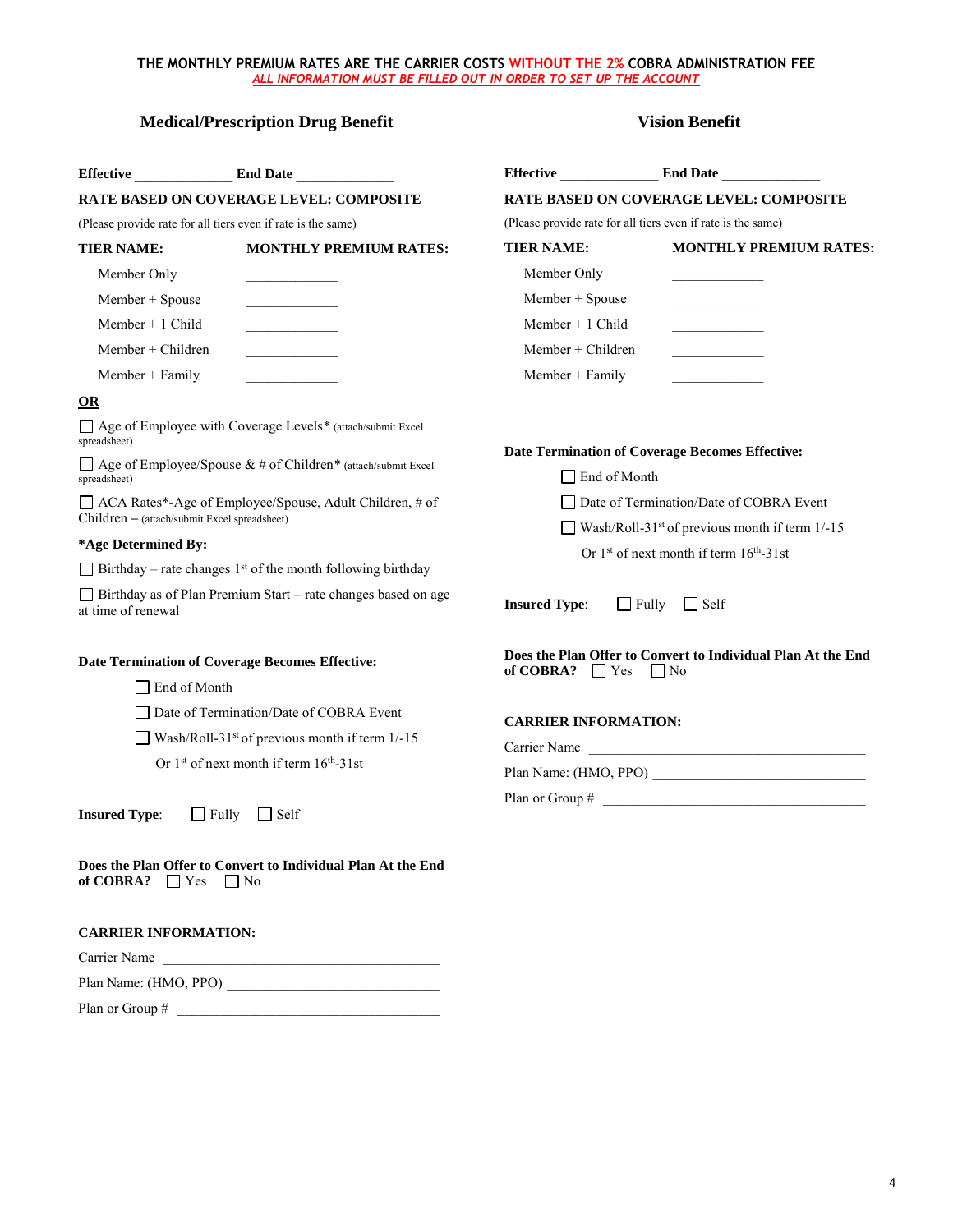| <b>Medical/Prescription Drug Benefit</b>                     |                                                                                                                       | <b>Vision Benefit</b>                                         |                                                                                                           |
|--------------------------------------------------------------|-----------------------------------------------------------------------------------------------------------------------|---------------------------------------------------------------|-----------------------------------------------------------------------------------------------------------|
|                                                              | Effective End Date                                                                                                    |                                                               | Effective End Date                                                                                        |
| <b>RATE BASED ON COVERAGE LEVEL: COMPOSITE</b>               |                                                                                                                       |                                                               | <b>RATE BASED ON COVERAGE LEVEL: COMPOSITE</b>                                                            |
| (Please provide rate for all tiers even if rate is the same) |                                                                                                                       | (Please provide rate for all tiers even if rate is the same)  |                                                                                                           |
| <b>TIER NAME:</b>                                            | <b>MONTHLY PREMIUM RATES:</b>                                                                                         | <b>TIER NAME:</b>                                             | <b>MONTHLY PREMIUM RATES:</b>                                                                             |
| Member Only                                                  |                                                                                                                       | Member Only                                                   |                                                                                                           |
| Member + Spouse                                              |                                                                                                                       | Member + Spouse                                               |                                                                                                           |
| Member $+1$ Child                                            | <u> La Carlo de Carlo de la Carlo de la Carlo de la Carlo de la Carlo de la Carlo de la Carlo de la Carlo de la C</u> | Member $+1$ Child                                             |                                                                                                           |
| $Member + Children$                                          | <u> 1990 - John Barn Barn, amerikansk politiker</u>                                                                   | $Member + Children$                                           | <u> 1990 - Johann Barbara, martin a</u>                                                                   |
| Member + Family                                              |                                                                                                                       | $Member + Family$                                             |                                                                                                           |
| OR                                                           |                                                                                                                       |                                                               |                                                                                                           |
| spreadsheet)                                                 | □ Age of Employee with Coverage Levels* (attach/submit Excel                                                          |                                                               |                                                                                                           |
| spreadsheet)                                                 | $\Box$ Age of Employee/Spouse & # of Children* (attach/submit Excel                                                   | $\Box$ End of Month                                           | Date Termination of Coverage Becomes Effective:                                                           |
| Children - (attach/submit Excel spreadsheet)                 | □ ACA Rates*-Age of Employee/Spouse, Adult Children, # of                                                             |                                                               | □ Date of Termination/Date of COBRA Event<br>Wash/Roll-31 <sup>st</sup> of previous month if term $1/-15$ |
| *Age Determined By:                                          |                                                                                                                       |                                                               | Or $1st$ of next month if term $16th$ -31st                                                               |
|                                                              | $\Box$ Birthday – rate changes 1 <sup>st</sup> of the month following birthday                                        |                                                               |                                                                                                           |
| at time of renewal                                           | Birthday as of Plan Premium Start - rate changes based on age                                                         | <b>Insured Type:</b>                                          | $\Box$ Fully $\Box$ Self                                                                                  |
| $\Box$ End of Month                                          | Date Termination of Coverage Becomes Effective:<br>□ Date of Termination/Date of COBRA Event                          | of COBRA? $\Box$ Yes $\Box$ No<br><b>CARRIER INFORMATION:</b> | Does the Plan Offer to Convert to Individual Plan At the End                                              |
|                                                              | Wash/Roll-31 <sup>st</sup> of previous month if term $1/-15$                                                          |                                                               | Carrier Name                                                                                              |
|                                                              | Or $1st$ of next month if term $16th - 31$ st                                                                         |                                                               | Plan Name: (HMO, PPO)                                                                                     |
| <b>Insured Type:</b>                                         | $\Box$ Fully $\Box$ Self                                                                                              | Plan or Group #                                               |                                                                                                           |
| of COBRA? $\Box$ Yes $\Box$ No                               | Does the Plan Offer to Convert to Individual Plan At the End                                                          |                                                               |                                                                                                           |
| <b>CARRIER INFORMATION:</b>                                  |                                                                                                                       |                                                               |                                                                                                           |
|                                                              | Carrier Name                                                                                                          |                                                               |                                                                                                           |
|                                                              |                                                                                                                       |                                                               |                                                                                                           |
|                                                              |                                                                                                                       |                                                               |                                                                                                           |

4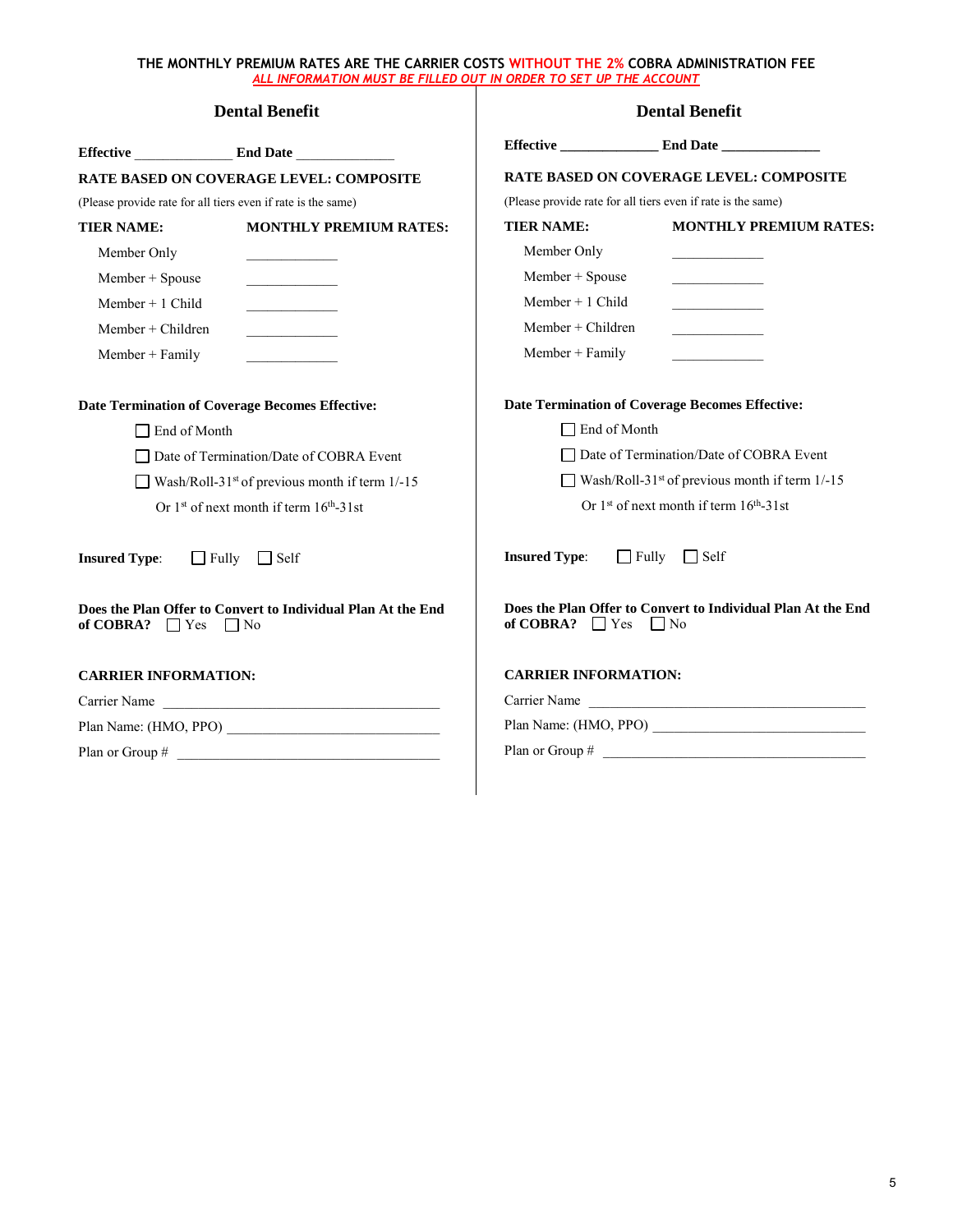| Effective End Date                                                                                     |                                                |                                           |                                                                       |  |
|--------------------------------------------------------------------------------------------------------|------------------------------------------------|-------------------------------------------|-----------------------------------------------------------------------|--|
|                                                                                                        |                                                |                                           |                                                                       |  |
|                                                                                                        | <b>RATE BASED ON COVERAGE LEVEL: COMPOSITE</b> |                                           | <b>RATE BASED ON COVERAGE LEVEL: COMPOSITE</b>                        |  |
| (Please provide rate for all tiers even if rate is the same)                                           |                                                |                                           | (Please provide rate for all tiers even if rate is the same)          |  |
| <b>TIER NAME:</b>                                                                                      | <b>MONTHLY PREMIUM RATES:</b>                  | <b>TIER NAME:</b>                         | <b>MONTHLY PREMIUM RATES:</b>                                         |  |
| Member Only                                                                                            |                                                | Member Only                               |                                                                       |  |
| Member + Spouse                                                                                        | the control of the control of the              | Member + Spouse                           |                                                                       |  |
| Member $+1$ Child                                                                                      |                                                | Member $+1$ Child                         | <u> 1990 - John Barn Barn, amerikansk politiker</u>                   |  |
| $Member + Children$                                                                                    |                                                | $Member + Children$                       |                                                                       |  |
| $Member + Family$                                                                                      |                                                | Member + Family                           |                                                                       |  |
| <b>Date Termination of Coverage Becomes Effective:</b>                                                 |                                                |                                           | Date Termination of Coverage Becomes Effective:                       |  |
| $\Box$ End of Month                                                                                    |                                                | $\Box$ End of Month                       |                                                                       |  |
|                                                                                                        | Date of Termination/Date of COBRA Event        | □ Date of Termination/Date of COBRA Event |                                                                       |  |
| Wash/Roll-31 <sup>st</sup> of previous month if term 1/-15                                             |                                                |                                           | Wash/Roll-31 <sup>st</sup> of previous month if term $1/-15$          |  |
| Or 1 <sup>st</sup> of next month if term 16 <sup>th</sup> -31st                                        |                                                |                                           | Or 1 <sup>st</sup> of next month if term 16 <sup>th</sup> -31st       |  |
| <b>Insured Type:</b>                                                                                   | $\Box$ Fully $\Box$ Self                       | <b>Insured Type:</b>                      | $\Box$ Fully $\Box$ Self                                              |  |
| Does the Plan Offer to Convert to Individual Plan At the End<br>of COBRA?<br>$ $   Yes<br>$\vert$   No |                                                | of COBRA? $\Box$ Yes                      | Does the Plan Offer to Convert to Individual Plan At the End<br>∣ ∣No |  |
| <b>CARRIER INFORMATION:</b>                                                                            |                                                | <b>CARRIER INFORMATION:</b>               |                                                                       |  |
| Carrier Name                                                                                           |                                                | Carrier Name                              |                                                                       |  |
|                                                                                                        |                                                |                                           |                                                                       |  |
|                                                                                                        |                                                |                                           |                                                                       |  |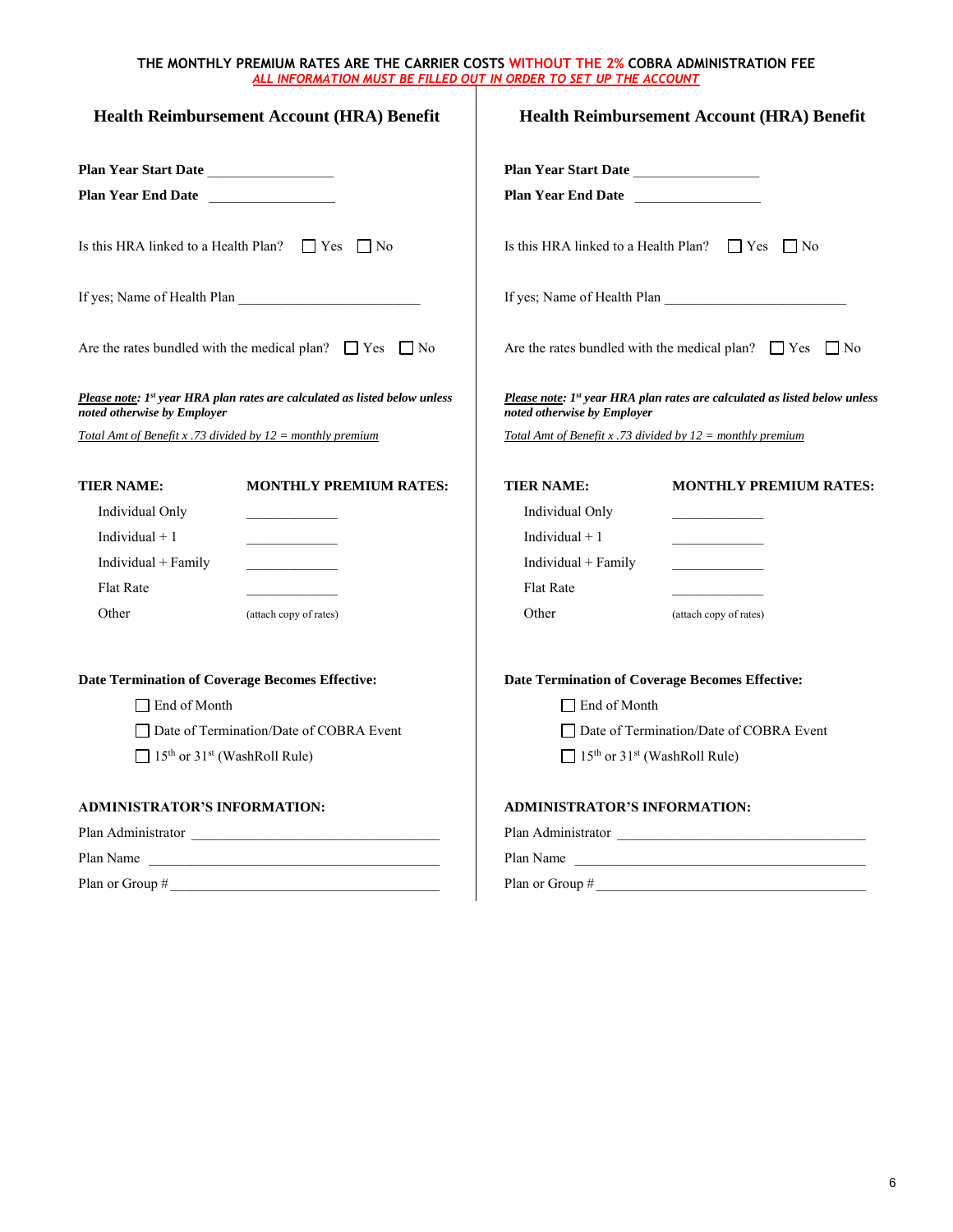| <b>Health Reimbursement Account (HRA) Benefit</b>            |                                                                                        | <b>Health Reimbursement Account (HRA) Benefit</b> |                                                                            |  |
|--------------------------------------------------------------|----------------------------------------------------------------------------------------|---------------------------------------------------|----------------------------------------------------------------------------|--|
| Plan Year Start Date                                         |                                                                                        | Plan Year Start Date                              |                                                                            |  |
| <b>Plan Year End Date</b>                                    |                                                                                        | Plan Year End Date                                |                                                                            |  |
|                                                              | Is this HRA linked to a Health Plan? $\Box$ Yes $\Box$ No                              |                                                   | Is this HRA linked to a Health Plan? $\Box$ Yes $\Box$ No                  |  |
|                                                              |                                                                                        |                                                   | If yes; Name of Health Plan                                                |  |
|                                                              | Are the rates bundled with the medical plan? $\Box$ Yes $\Box$ No                      |                                                   | Are the rates bundled with the medical plan? $\Box$ Yes $\Box$ No          |  |
| noted otherwise by Employer                                  | Please note: 1 <sup>st</sup> year HRA plan rates are calculated as listed below unless | noted otherwise by Employer                       | Please note: 1st year HRA plan rates are calculated as listed below unless |  |
| Total Amt of Benefit x .73 divided by $12 =$ monthly premium |                                                                                        |                                                   | Total Amt of Benefit x .73 divided by $12 =$ monthly premium               |  |
| <b>TIER NAME:</b>                                            | <b>MONTHLY PREMIUM RATES:</b>                                                          | <b>TIER NAME:</b>                                 | <b>MONTHLY PREMIUM RATES:</b>                                              |  |
| Individual Only                                              |                                                                                        | Individual Only                                   |                                                                            |  |
| Individual $+1$                                              |                                                                                        | Individual $+1$                                   |                                                                            |  |
| Individual $+$ Family                                        |                                                                                        | Individual $+$ Family                             |                                                                            |  |
| <b>Flat Rate</b>                                             | the control of the control of                                                          | <b>Flat Rate</b>                                  |                                                                            |  |
| Other                                                        | (attach copy of rates)                                                                 | Other                                             | (attach copy of rates)                                                     |  |
|                                                              | <b>Date Termination of Coverage Becomes Effective:</b>                                 |                                                   | <b>Date Termination of Coverage Becomes Effective:</b>                     |  |
| $\Box$ End of Month                                          |                                                                                        | $\Box$ End of Month                               |                                                                            |  |
| □ Date of Termination/Date of COBRA Event                    |                                                                                        | □ Date of Termination/Date of COBRA Event         |                                                                            |  |
| $\Box$ 15 <sup>th</sup> or 31 <sup>st</sup> (WashRoll Rule)  |                                                                                        |                                                   | $\Box$ 15 <sup>th</sup> or 31 <sup>st</sup> (WashRoll Rule)                |  |
| ADMINISTRATOR'S INFORMATION:                                 |                                                                                        | <b>ADMINISTRATOR'S INFORMATION:</b>               |                                                                            |  |
|                                                              |                                                                                        |                                                   | Plan Administrator                                                         |  |
| Plan Name                                                    |                                                                                        |                                                   | Plan Name                                                                  |  |
|                                                              |                                                                                        |                                                   |                                                                            |  |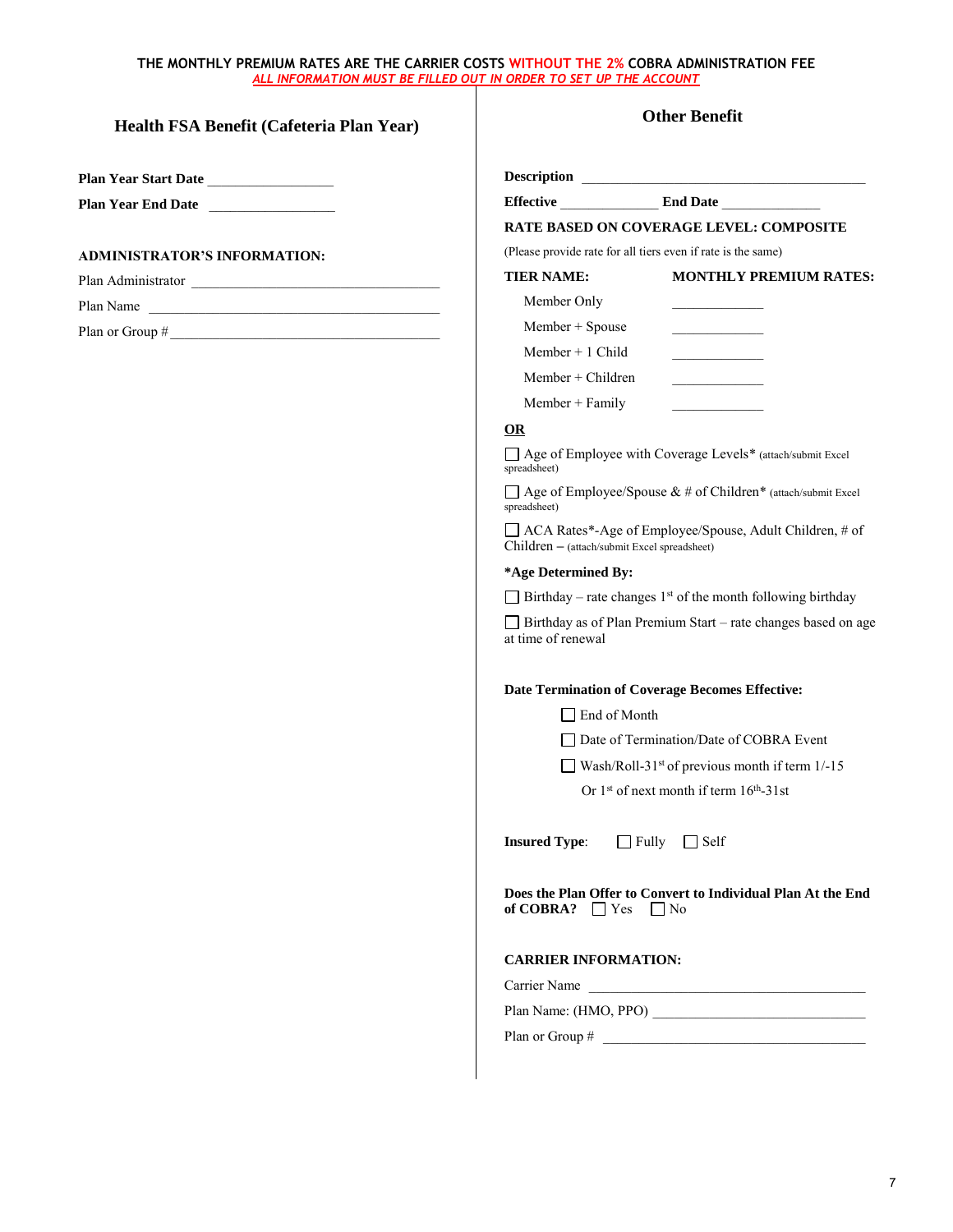# **Health FSA Benefit (Cafeteria Plan Year)**

**Plan Year Start Date** \_\_\_\_\_\_\_\_\_\_\_\_\_\_\_\_\_\_ **Plan Year End Date** \_\_\_\_\_\_\_\_\_\_\_\_\_\_\_\_\_\_

### **ADMINISTRATOR'S INFORMATION:**

Plan Administrator

Plan Name

Plan or Group  $\#$ 

|                                              | Effective End Date                                                             |
|----------------------------------------------|--------------------------------------------------------------------------------|
|                                              | <b>RATE BASED ON COVERAGE LEVEL: COMPOSITE</b>                                 |
|                                              | (Please provide rate for all tiers even if rate is the same)                   |
| <b>TIER NAME:</b>                            | <b>MONTHLY PREMIUM RATES:</b>                                                  |
| Member Only                                  |                                                                                |
| Member + Spouse                              |                                                                                |
| Member $+1$ Child                            |                                                                                |
| $Member + Children$                          |                                                                                |
| $Member + Family$                            |                                                                                |
| OR                                           |                                                                                |
| spreadsheet)                                 | □ Age of Employee with Coverage Levels* (attach/submit Excel                   |
| spreadsheet)                                 | $\Box$ Age of Employee/Spouse & # of Children* (attach/submit Excel            |
| Children - (attach/submit Excel spreadsheet) | □ ACA Rates*-Age of Employee/Spouse, Adult Children, # of                      |
| *Age Determined By:                          |                                                                                |
|                                              | $\Box$ Birthday – rate changes 1 <sup>st</sup> of the month following birthday |
| at time of renewal                           | Birthday as of Plan Premium Start - rate changes based on age                  |
|                                              | <b>Date Termination of Coverage Becomes Effective:</b>                         |
| $\Box$ End of Month                          |                                                                                |
|                                              | Date of Termination/Date of COBRA Event                                        |
|                                              | Wash/Roll-31 <sup>st</sup> of previous month if term $1/-15$                   |
|                                              | Or $1st$ of next month if term $16th - 31$ st                                  |
|                                              | <b>Insured Type:</b> □ Fully □ Self                                            |
| of COBRA? $\Box$ Yes $\Box$ No               | Does the Plan Offer to Convert to Individual Plan At the End                   |
| <b>CARRIER INFORMATION:</b>                  |                                                                                |
|                                              | Carrier Name                                                                   |
|                                              |                                                                                |
|                                              |                                                                                |
|                                              |                                                                                |

**Other Benefit**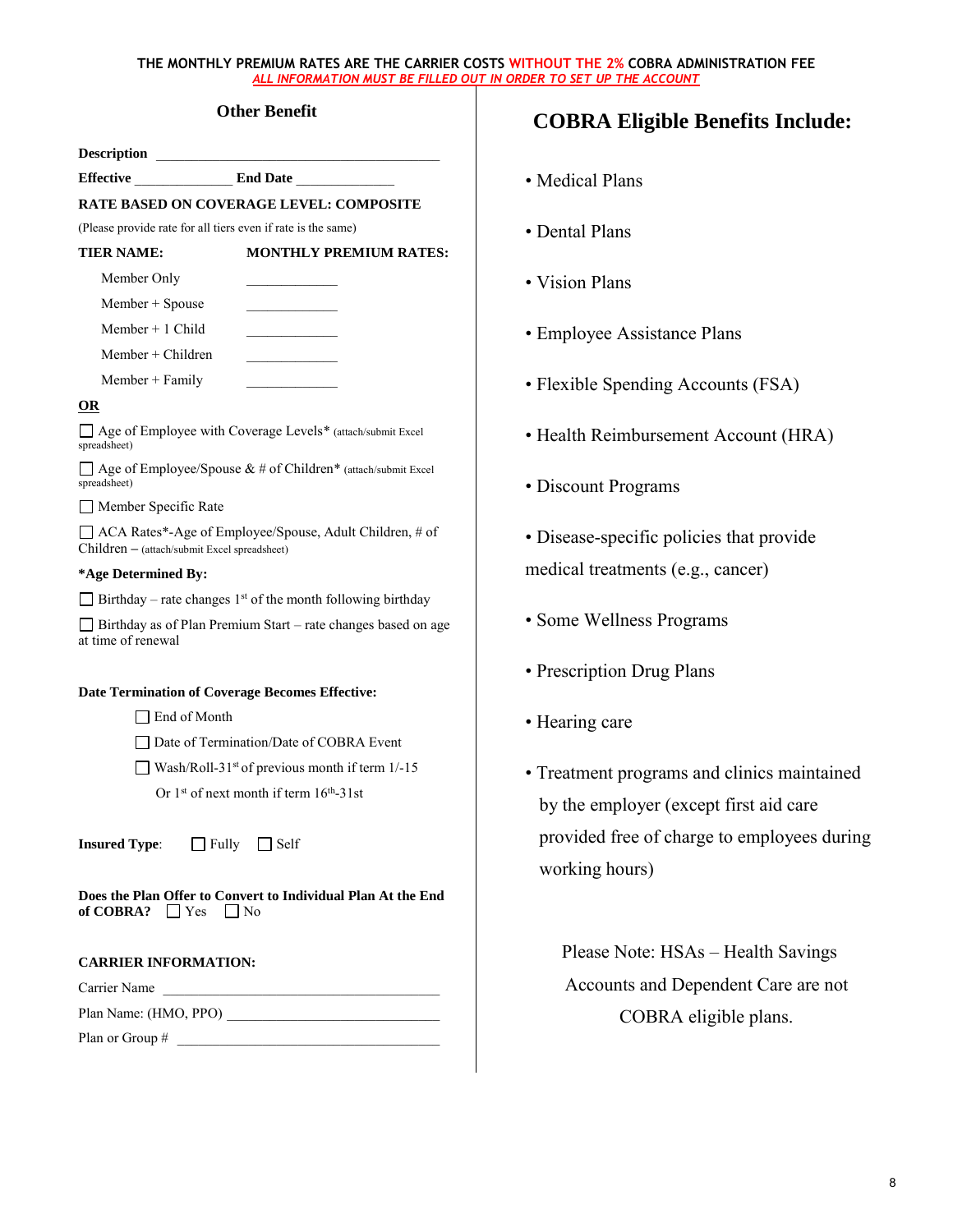# **Other Benefit**

|                                                              | <b>RATE BASED ON COVERAGE LEVEL: COMPOSITE</b>                                 |  |
|--------------------------------------------------------------|--------------------------------------------------------------------------------|--|
| (Please provide rate for all tiers even if rate is the same) |                                                                                |  |
| <b>TIER NAME:</b>                                            | <b>MONTHLY PREMIUM RATES:</b>                                                  |  |
| Member Only                                                  |                                                                                |  |
| $Member + Spouse$                                            |                                                                                |  |
| Member $+1$ Child                                            |                                                                                |  |
| $Member + Children$                                          |                                                                                |  |
| $Member + Family$                                            |                                                                                |  |
| OR                                                           |                                                                                |  |
| spreadsheet)                                                 | □ Age of Employee with Coverage Levels* (attach/submit Excel                   |  |
| spreadsheet)                                                 | $\Box$ Age of Employee/Spouse & # of Children* (attach/submit Excel            |  |
| Member Specific Rate                                         |                                                                                |  |
| Children – (attach/submit Excel spreadsheet)                 | ACA Rates*-Age of Employee/Spouse, Adult Children, # of                        |  |
| *Age Determined By:                                          |                                                                                |  |
|                                                              | $\Box$ Birthday – rate changes 1 <sup>st</sup> of the month following birthday |  |
| at time of renewal                                           | □ Birthday as of Plan Premium Start – rate changes based on age                |  |
| Date Termination of Coverage Becomes Effective:              |                                                                                |  |
| ∣ End of Month                                               |                                                                                |  |
|                                                              | Date of Termination/Date of COBRA Event                                        |  |
| Wash/Roll-31 <sup>st</sup> of previous month if term $1/-15$ |                                                                                |  |
|                                                              | Or 1 <sup>st</sup> of next month if term 16 <sup>th</sup> -31st                |  |
| <b>Insured Type:</b> □ Fully □ Self                          |                                                                                |  |
| of COBRA? $\Box$ Yes $\Box$ No                               | Does the Plan Offer to Convert to Individual Plan At the End                   |  |
| <b>CARRIER INFORMATION:</b>                                  |                                                                                |  |
| Carrier Name                                                 |                                                                                |  |
|                                                              | Plan Name: (HMO, PPO)                                                          |  |

Plan or Group #

# **COBRA Eligible Benefits Include:**

- Medical Plans
- Dental Plans
- Vision Plans
- Employee Assistance Plans
- Flexible Spending Accounts (FSA)
- Health Reimbursement Account (HRA)
- Discount Programs
- Disease-specific policies that provide medical treatments (e.g., cancer)
- Some Wellness Programs
- Prescription Drug Plans
- Hearing care
- Treatment programs and clinics maintained by the employer (except first aid care provided free of charge to employees during working hours)

Please Note: HSAs – Health Savings Accounts and Dependent Care are not COBRA eligible plans.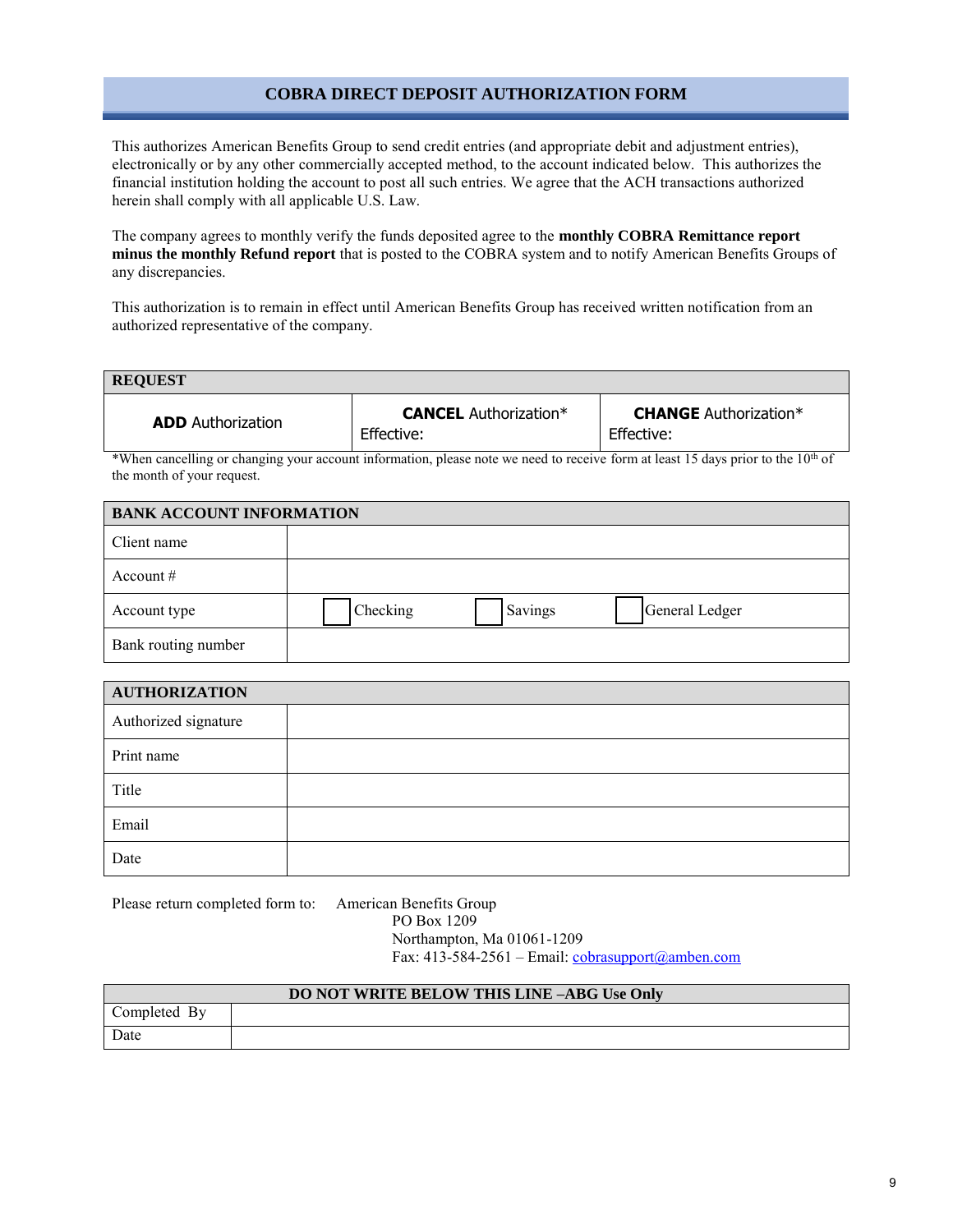# **COBRA DIRECT DEPOSIT AUTHORIZATION FORM**

This authorizes American Benefits Group to send credit entries (and appropriate debit and adjustment entries), electronically or by any other commercially accepted method, to the account indicated below. This authorizes the financial institution holding the account to post all such entries. We agree that the ACH transactions authorized herein shall comply with all applicable U.S. Law.

The company agrees to monthly verify the funds deposited agree to the **monthly COBRA Remittance report minus the monthly Refund report** that is posted to the COBRA system and to notify American Benefits Groups of any discrepancies.

This authorization is to remain in effect until American Benefits Group has received written notification from an authorized representative of the company.

| <b>REQUEST</b>           |                                            |                                            |  |
|--------------------------|--------------------------------------------|--------------------------------------------|--|
| <b>ADD</b> Authorization | <b>CANCEL</b> Authorization*<br>Effective: | <b>CHANGE</b> Authorization*<br>Effective: |  |

\*When cancelling or changing your account information, please note we need to receive form at least 15 days prior to the 10<sup>th</sup> of the month of your request.

| <b>BANK ACCOUNT INFORMATION</b> |          |         |                |
|---------------------------------|----------|---------|----------------|
| Client name                     |          |         |                |
| Account $#$                     |          |         |                |
| Account type                    | Checking | Savings | General Ledger |
| Bank routing number             |          |         |                |

| <b>AUTHORIZATION</b> |  |  |
|----------------------|--|--|
| Authorized signature |  |  |
| Print name           |  |  |
| Title                |  |  |
| Email                |  |  |
| Date                 |  |  |

Please return completed form to: American Benefits Group

PO Box 1209 Northampton, Ma 01061-1209 Fax: 413-584-2561 – Email: [cobrasupport@amben.com](mailto:cobrasupport@amben.com)

| <b>DO NOT WRITE BELOW THIS LINE -ABG Use Only</b> |  |  |
|---------------------------------------------------|--|--|
| Completed By                                      |  |  |
| Date                                              |  |  |